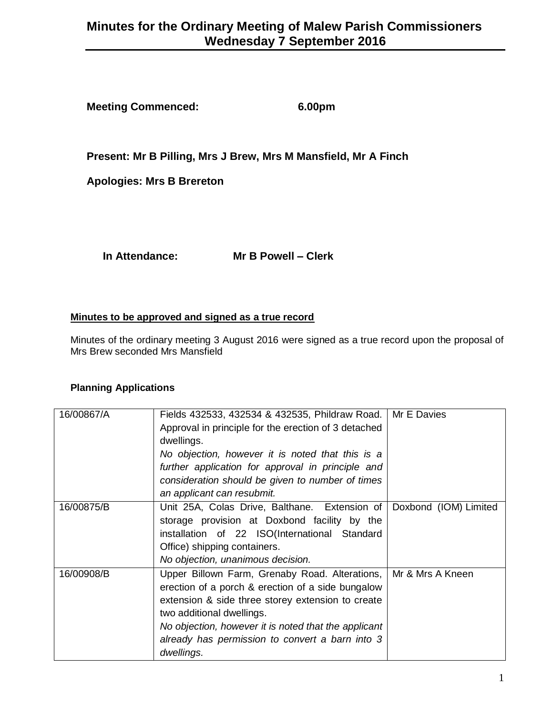# **Minutes for the Ordinary Meeting of Malew Parish Commissioners Wednesday 7 September 2016**

**Meeting Commenced: 6.00pm**

**Present: Mr B Pilling, Mrs J Brew, Mrs M Mansfield, Mr A Finch**

**Apologies: Mrs B Brereton**

**In Attendance: Mr B Powell – Clerk**

#### **Minutes to be approved and signed as a true record**

Minutes of the ordinary meeting 3 August 2016 were signed as a true record upon the proposal of Mrs Brew seconded Mrs Mansfield

## **Planning Applications**

| 16/00867/A | Fields 432533, 432534 & 432535, Phildraw Road.       | Mr E Davies           |
|------------|------------------------------------------------------|-----------------------|
|            | Approval in principle for the erection of 3 detached |                       |
|            | dwellings.                                           |                       |
|            | No objection, however it is noted that this is a     |                       |
|            | further application for approval in principle and    |                       |
|            | consideration should be given to number of times     |                       |
|            | an applicant can resubmit.                           |                       |
| 16/00875/B | Unit 25A, Colas Drive, Balthane. Extension of        | Doxbond (IOM) Limited |
|            | storage provision at Doxbond facility by the         |                       |
|            | installation of 22 ISO(International Standard        |                       |
|            | Office) shipping containers.                         |                       |
|            | No objection, unanimous decision.                    |                       |
| 16/00908/B | Upper Billown Farm, Grenaby Road. Alterations,       | Mr & Mrs A Kneen      |
|            | erection of a porch & erection of a side bungalow    |                       |
|            | extension & side three storey extension to create    |                       |
|            | two additional dwellings.                            |                       |
|            | No objection, however it is noted that the applicant |                       |
|            | already has permission to convert a barn into 3      |                       |
|            | dwellings.                                           |                       |